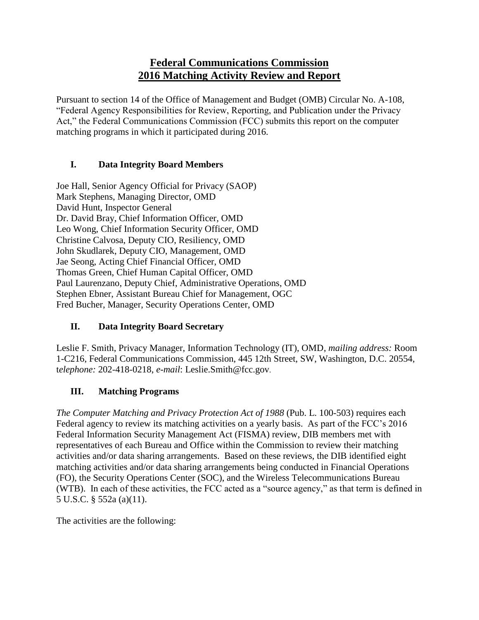# **Federal Communications Commission 2016 Matching Activity Review and Report**

Pursuant to section 14 of the Office of Management and Budget (OMB) Circular No. A-108, "Federal Agency Responsibilities for Review, Reporting, and Publication under the Privacy Act," the Federal Communications Commission (FCC) submits this report on the computer matching programs in which it participated during 2016.

### **I. Data Integrity Board Members**

Joe Hall, Senior Agency Official for Privacy (SAOP) Mark Stephens, Managing Director, OMD David Hunt, Inspector General Dr. David Bray, Chief Information Officer, OMD Leo Wong, Chief Information Security Officer, OMD Christine Calvosa, Deputy CIO, Resiliency, OMD John Skudlarek, Deputy CIO, Management, OMD Jae Seong, Acting Chief Financial Officer, OMD Thomas Green, Chief Human Capital Officer, OMD Paul Laurenzano, Deputy Chief, Administrative Operations, OMD Stephen Ebner, Assistant Bureau Chief for Management, OGC Fred Bucher, Manager, Security Operations Center, OMD

## **II. Data Integrity Board Secretary**

Leslie F. Smith, Privacy Manager, Information Technology (IT), OMD, *mailing address:* Room 1-C216, Federal Communications Commission, 445 12th Street, SW, Washington, D.C. 20554, t*elephone:* 202-418-0218, *e-mail*: Leslie.Smith@fcc.gov.

## **III. Matching Programs**

*The Computer Matching and Privacy Protection Act of 1988* (Pub. L. 100-503) requires each Federal agency to review its matching activities on a yearly basis. As part of the FCC's 2016 Federal Information Security Management Act (FISMA) review, DIB members met with representatives of each Bureau and Office within the Commission to review their matching activities and/or data sharing arrangements. Based on these reviews, the DIB identified eight matching activities and/or data sharing arrangements being conducted in Financial Operations (FO), the Security Operations Center (SOC), and the Wireless Telecommunications Bureau (WTB). In each of these activities, the FCC acted as a "source agency," as that term is defined in 5 U.S.C. § 552a (a)(11).

The activities are the following: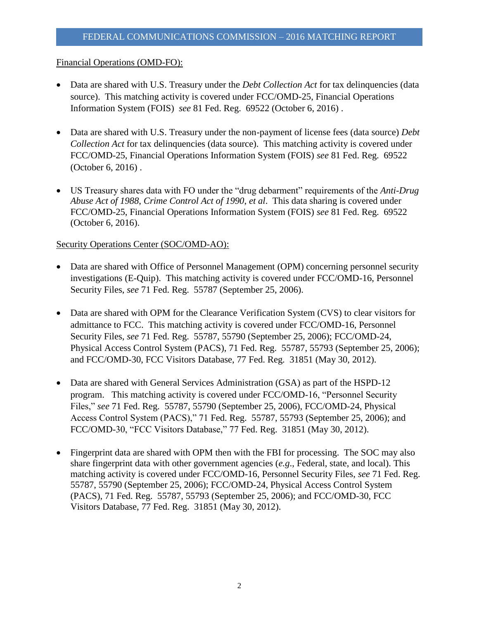#### Financial Operations (OMD-FO):

- Data are shared with U.S. Treasury under the *Debt Collection Act* for tax delinquencies (data source). This matching activity is covered under FCC/OMD-25, Financial Operations Information System (FOIS) *see* 81 Fed. Reg. 69522 (October 6, 2016) .
- Data are shared with U.S. Treasury under the non-payment of license fees (data source) *Debt Collection Act* for tax delinquencies (data source). This matching activity is covered under FCC/OMD-25, Financial Operations Information System (FOIS) *see* 81 Fed. Reg. 69522 (October 6, 2016) .
- US Treasury shares data with FO under the "drug debarment" requirements of the *Anti-Drug Abuse Act of 1988*, *Crime Control Act of 1990*, *et al*. This data sharing is covered under FCC/OMD-25, Financial Operations Information System (FOIS) *see* 81 Fed. Reg. 69522 (October 6, 2016).

#### Security Operations Center (SOC/OMD-AO):

- Data are shared with Office of Personnel Management (OPM) concerning personnel security investigations (E-Quip). This matching activity is covered under FCC/OMD-16, Personnel Security Files, *see* 71 Fed. Reg. 55787 (September 25, 2006).
- Data are shared with OPM for the Clearance Verification System (CVS) to clear visitors for admittance to FCC. This matching activity is covered under FCC/OMD-16, Personnel Security Files, *see* 71 Fed. Reg. 55787, 55790 (September 25, 2006); FCC/OMD-24, Physical Access Control System (PACS), 71 Fed. Reg. 55787, 55793 (September 25, 2006); and FCC/OMD-30, FCC Visitors Database, 77 Fed. Reg. 31851 (May 30, 2012).
- Data are shared with General Services Administration (GSA) as part of the HSPD-12 program. This matching activity is covered under FCC/OMD-16, "Personnel Security Files," *see* 71 Fed. Reg. 55787, 55790 (September 25, 2006), FCC/OMD-24, Physical Access Control System (PACS)," 71 Fed. Reg. 55787, 55793 (September 25, 2006); and FCC/OMD-30, "FCC Visitors Database," 77 Fed. Reg. 31851 (May 30, 2012).
- Fingerprint data are shared with OPM then with the FBI for processing. The SOC may also share fingerprint data with other government agencies (*e.g*., Federal, state, and local). This matching activity is covered under FCC/OMD-16, Personnel Security Files, *see* 71 Fed. Reg. 55787, 55790 (September 25, 2006); FCC/OMD-24, Physical Access Control System (PACS), 71 Fed. Reg. 55787, 55793 (September 25, 2006); and FCC/OMD-30, FCC Visitors Database, 77 Fed. Reg. 31851 (May 30, 2012).